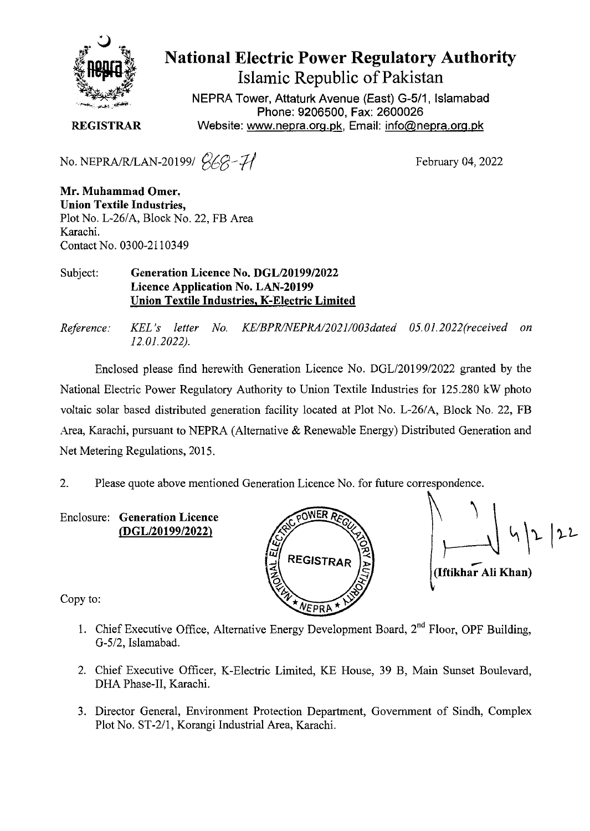

# **National Electric Power Regulatory Authority** Islamic Republic of Pakistan

NEPRA Tower, Attaturk Avenue (East) *G-5/1,* Islamabad Phone: 9206500, Fax: 2600026 REGISTRAR Website: www.nepra.org.pk, Email: info@nepra.org.pk

No. NEPRA/R/LAN-20199/ *<sup>2</sup>/<sub>6</sub>Q-7/* February 04, 2022

Mr. Muhammad Omer, Union Textile Industries, Plot No. L-26/A, Block No. 22, FB Area Karachi. Contact No. 0300-2110349

### Subject: Generation Licence No. *DGL/20199/2022* Licence Application No. LAN-20199 Union Textile Industries. K-Electric Limited

*Reference: KEL's letter No. KEIBPRINEPRAl20211003dafed 05.01.2022(received on 12.01.2022).*

Enclosed please find herewith Generation Licence No. *DGLl20199/2022* granted by the National Electric Power Regulatory Authority to Union Textile Industries for 125.280 kW photo voltaic solar based distributed generation facility located at Plot No. *L-261*A, Block No. 22, FB Area, Karachi, pursuant to NEPRA (Alternative & Renewable Energy) Distributed Generation and Net Metering Regulations, 2015.

2. Please quote above mentioned Generation Licence No. for future correspondence.

Enclosure: Generation Licence *(DGL/20199/2022)*



 $\frac{1}{2}$  4/2/22 (Iftikhar Ali Khan)

Copy to:

- 1. Chief Executive Office, Alternative Energy Development Board,  $2<sup>nd</sup>$  Floor, OPF Building, G-5/2, Islamabad.
- 2. Chief Executive Officer, K-Electric Limited, KE House, 39 B, Main Sunset Boulevard, DHA Phase-II, Karachi.
- 3. Director General, Environment Protection Department, Government of Sindh, Complex Plot No. ST-2/1, Korangi Industrial Area, Karachi.